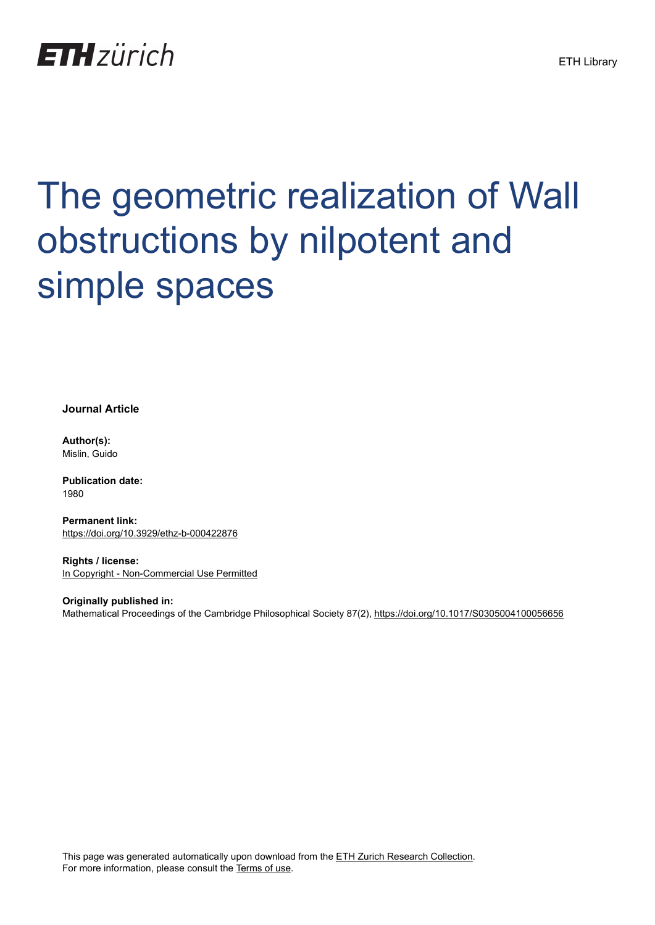

# The geometric realization of Wall obstructions by nilpotent and simple spaces

**Journal Article**

**Author(s):** Mislin, Guido

**Publication date:** 1980

**Permanent link:** <https://doi.org/10.3929/ethz-b-000422876>

**Rights / license:** [In Copyright - Non-Commercial Use Permitted](http://rightsstatements.org/page/InC-NC/1.0/)

**Originally published in:** Mathematical Proceedings of the Cambridge Philosophical Society 87(2),<https://doi.org/10.1017/S0305004100056656>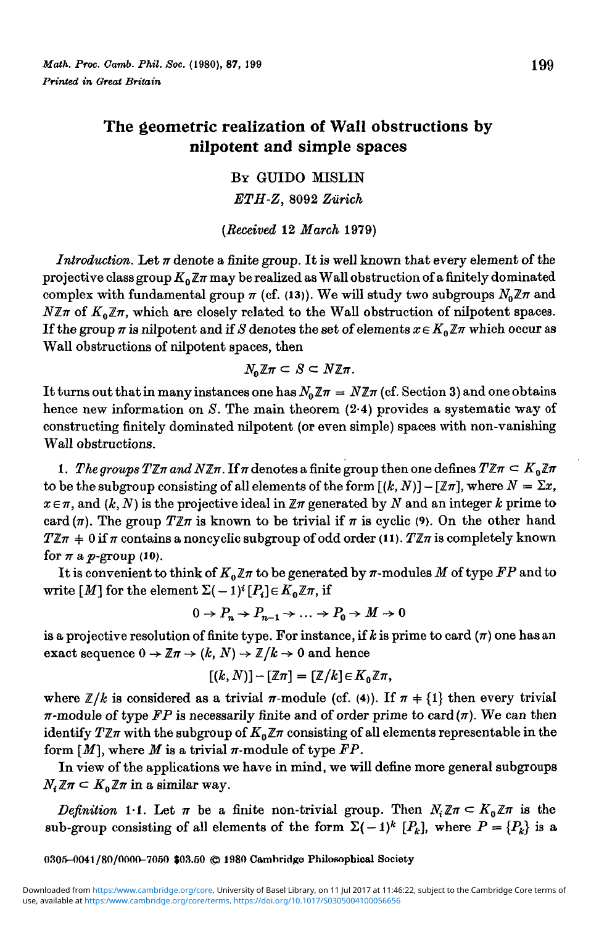# The geometric realization of Wall obstructions by nilpotent and simple spaces

BY GUIDO MISLIN *ETH-Z,* 8092 *Zurich*

*{Received* 12 *March* 1979)

*Introduction.* Let *n* denote a finite group. It is well known that every element of the projective class group  $K_0 \mathbb{Z} \pi$  may be realized as Wall obstruction of a finitely dominated complex with fundamental group  $\pi$  (cf. (13)). We will study two subgroups  $N_0 \mathbb{Z} \pi$  and  $N\mathbb{Z}\pi$  of  $K_0\mathbb{Z}\pi$ , which are closely related to the Wall obstruction of nilpotent spaces. If the group  $\pi$  is nilpotent and if S denotes the set of elements  $x \in K_0 \mathbb{Z} \pi$  which occur as Wall obstructions of nilpotent spaces, then

$$
N_0\mathbb{Z}\pi\subset S\subset N\mathbb{Z}\pi.
$$

It turns out that in many instances one has  $N_0 \mathbb{Z} \pi = N \mathbb{Z} \pi$  (cf. Section 3) and one obtains hence new information on *S.* The main theorem (2-4) provides a systematic way of constructing finitely dominated nilpotent (or even simple) spaces with non-vanishing Wall obstructions.

1. The groups  $T\mathbb{Z}\pi$  and  $N\mathbb{Z}\pi$ . If  $\pi$  denotes a finite group then one defines  $T\mathbb{Z}\pi \subset K_0\mathbb{Z}\pi$ to be the subgroup consisting of all elements of the form  $[(k, N)] - [\mathbb{Z}\pi]$ , where  $N = \Sigma x$ ,  $x \in \pi$ , and  $(k, N)$  is the projective ideal in  $\mathbb{Z}\pi$  generated by N and an integer k prime to card  $(\pi)$ . The group  $T\mathbb{Z}\pi$  is known to be trivial if  $\pi$  is cyclic (9). On the other hand  $TZ\pi$  + 0 if  $\pi$  contains a noncyclic subgroup of odd order (11).  $TZ\pi$  is completely known for  $\pi$  a  $p$ -group (10).

It is convenient to think of  $K_0 \mathbb{Z} \pi$  to be generated by  $\pi$ -modules M of type FP and to  $\operatorname{write}\left[\!\! \begin{array}{l} M \end{array}\!\!\right] \text{for the element } \Sigma(-1)^i \!\left[\!\! \begin{array}{l} P_i \end{array}\!\!\right] \!\!\in\! K_0\mathbb{Z} \pi, \, \text{if}$ 

$$
0 \to P_n \to P_{n-1} \to \dots \to P_0 \to M \to 0
$$

is a projective resolution of finite type. For instance, if  $k$  is prime to card  $(\pi)$  one has an exact sequence  $0 \to \mathbb{Z}\pi \to (k, N) \to \mathbb{Z}/k \to 0$  and hence

$$
[(k,N)] - [\mathbb{Z}\pi] = [\mathbb{Z}/k] \in K_0 \mathbb{Z}\pi,
$$

where  $\mathbb{Z}/k$  is considered as a trivial  $\pi$ -module (cf. (4)). If  $\pi \neq \{1\}$  then every trivial  $\pi$ -module of type FP is necessarily finite and of order prime to card  $(\pi)$ . We can then identify  $T\mathbb{Z}\pi$  with the subgroup of  $K_0\mathbb{Z}\pi$  consisting of all elements representable in the form  $[M]$ , where *M* is a trivial  $\pi$ -module of type  $FP$ .

In view of the applications we have in mind, we will define more general subgroups  $N_i \mathbb{Z} \pi \subset K_0 \mathbb{Z} \pi$  in a similar way.

*Definition* 1-1. Let  $\pi$  be a finite non-trivial group. Then  $N_i \mathbb{Z} \pi \subset K_0 \mathbb{Z} \pi$  is the sub-group consisting of all elements of the form  $\Sigma(-1)^k [P_k]$ , where  $P = {P_k}$  is a

**0305-0041/80/0000-7050 \$03.50 © 1980 Cambridge Philosophical Society**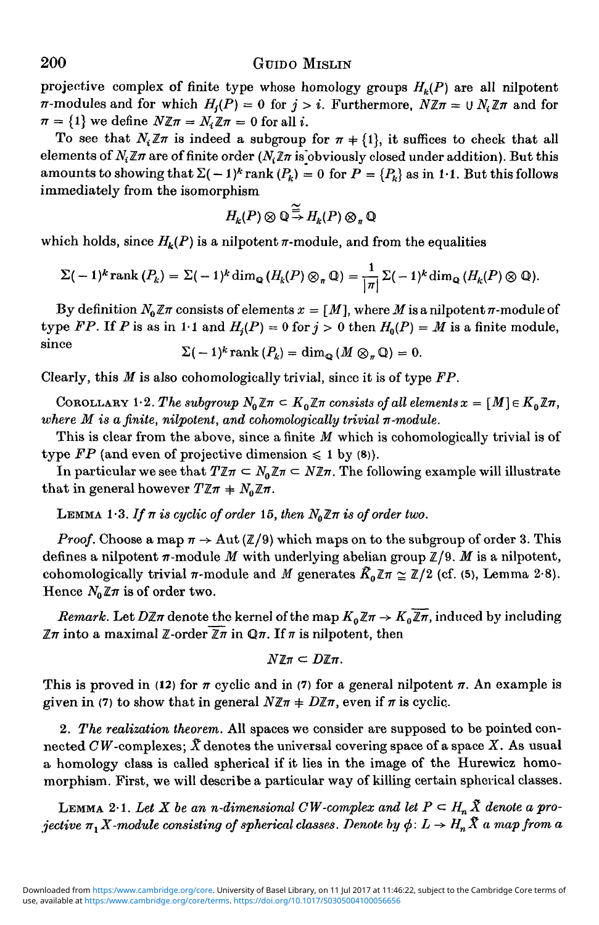## 200 GUIDO MISLIN

projective complex of finite type whose homology groups  $H_k(P)$  are all nilpotent  $\pi$ -modules and for which  $H_i(P) = 0$  for  $j > i$ . Furthermore,  $N \mathbb{Z} \pi = \bigcup N_i \mathbb{Z} \pi$  and for  $\pi = \{1\}$  we define  $N\mathbb{Z}\pi = N \mathbb{Z}\pi = 0$  for all *i*.

To see that  $N_i \mathbb{Z}\pi$  is indeed a subgroup for  $\pi \neq \{1\}$ , it suffices to check that all elements of  $N_i\mathbb{Z}\pi$  are of finite order  $(N_i\mathbb{Z}\pi$  is obviously closed under addition). But this amounts to showing that  $\Sigma(-1)^k$  rank  $(P_k) = 0$  for  $P = \{P_k\}$  as in 1·1. But this follows immediately from the isomorphism

$$
H_k(P)\otimes\mathbb{Q}\overset{\simeq}{\to} H_k(P)\otimes_{\pi}\mathbb{Q}
$$

which holds, since  $H_k(P)$  is a nilpotent  $\pi$ -module, and from the equalities

$$
\Sigma(-1)^k \operatorname{rank}(P_k) = \Sigma(-1)^k \dim_{\mathbb{Q}} (H_k(P) \otimes_{\pi} \mathbb{Q}) = \frac{1}{|\pi|} \Sigma(-1)^k \dim_{\mathbb{Q}} (H_k(P) \otimes \mathbb{Q}).
$$

By definition  $N_0 \mathbb{Z} \pi$  consists of elements  $x = \lfloor M \rfloor$ , where M is a nilpotent  $\pi$ -module of type FP. If P is as in 1.1 and  $H<sub>i</sub>(P) = 0$  for  $j > 0$  then  $H<sub>0</sub>(P) = M$  is a finite module, since  $\Sigma(-1)^k$  rank  $(P_k) = \dim_{\mathcal{O}} (M \otimes_{\pi} \mathbb{Q}) = 0.$ 

Clearly, this *M* is also cohomologically trivial, since it is of type *FP.*

COROLLARY 1.2. The subgroup  $N_0 \mathbb{Z} \pi \subset K_0 \mathbb{Z} \pi$  consists of all elements  $x = [M] \in K_0 \mathbb{Z} \pi$ , *where M is a finite, nilpotent, and cohomologically trivial n-module.*

This is clear from the above, since a finite *M* which is cohomologically trivial is of type  $FP$  (and even of projective dimension  $\leq 1$  by (8)).

In particular we see that  $T\mathbb{Z}\pi \subset N_0\mathbb{Z}\pi \subset N\mathbb{Z}\pi$ . The following example will illustrate that in general however  $T\mathbb{Z}\pi + N_0\mathbb{Z}\pi$ .

LEMMA 1.3. If  $\pi$  is cyclic of order 15, then  $N_0 \mathbb{Z} \pi$  is of order two.

*Proof.* Choose a map  $\pi \rightarrow$  Aut ( $\mathbb{Z}/9$ ) which maps on to the subgroup of order 3. This defines a nilpotent  $\pi$ -module M with underlying abelian group  $\mathbb{Z}/9$ . M is a nilpotent, cohomologically trivial  $\pi$ -module and *M* generates  $\tilde{K}_0 \mathbb{Z} \pi \cong \mathbb{Z}/2$  (cf. (5), Lemma 2-8). Hence  $N_0 \mathbb{Z} \pi$  is of order two.

*Remark.* Let  $D\mathbb{Z}\pi$  denote the kernel of the map  $K_0\mathbb{Z}\pi \to K_0\overline{\mathbb{Z}\pi}$ , induced by including  $\mathbb{Z}\pi$  into a maximal  $\mathbb{Z}$ -order  $\overline{\mathbb{Z}}\pi$  in  $\mathbb{Q}\pi$ . If  $\pi$  is nilpotent, then

$$
N\mathbb{Z}\pi\subset D\mathbb{Z}\pi.
$$

This is proved in (12) for  $\pi$  cyclic and in (7) for a general nilpotent  $\pi$ . An example is given in (7) to show that in general  $N \mathbb{Z} \pi + D \mathbb{Z} \pi$ , even if  $\pi$  is cyclic.

2. *The realization theorem.* All spaces we consider are supposed to be pointed connected  $CW$ -complexes;  $\tilde{X}$  denotes the universal covering space of a space  $X$ . As usual a homology class is called spherical if it lies in the image of the Hurewicz homomorphiam. First, we will describe a particular way of killing certain spherical classes.

LEMMA 2.1. Let X be an *n*-dimensional CW-complex and let  $P \subset H_n \tilde{X}$  denote a pro*jective*  $\pi_1 X$ -module consisting of spherical classes. Denote by  $\phi: L \to H_n \tilde{X}$  a map from a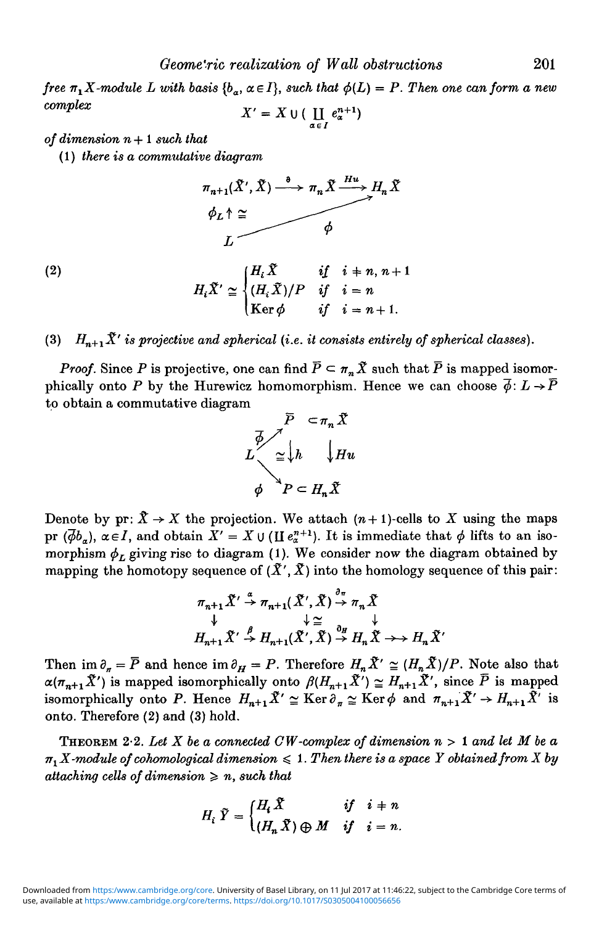*Geome'ric realization of Wall obstructions* 201

*free*  $\pi_1 X$ -module L with basis  ${b_\alpha, \alpha \in I}$ , such that  $\phi(L) = P$ . Then one can form a new  $complex$   $X' = X \cup \left( \prod e_x^{n+1} \right)$ 

$$
X' = X \cup (\coprod_{\alpha \in I} e_{\alpha}^{n+1})
$$

#### *of dimension n+ I such that*

(1) *there is a commutative diagram*

$$
\pi_{n+1}(\tilde{X}', \tilde{X}) \xrightarrow{\theta} \pi_n \tilde{X} \xrightarrow{Hu} H_n \tilde{X}
$$
\n
$$
\phi_L \uparrow \simeq
$$
\n
$$
\phi_L \uparrow \simeq
$$

(2) 
$$
H_i \tilde{X}' \simeq \begin{cases} H_i \tilde{X} & \text{if } i = n, n+1 \\ (H_i \tilde{X})/P & \text{if } i = n \\ \text{Ker } \phi & \text{if } i = n+1. \end{cases}
$$

(3)  $H_{n+1}\tilde{X}'$  is projective and spherical (i.e. it consists entirely of spherical classes).

*Proof.* Since *P* is projective, one can find  $\overline{P} \subseteq \pi_n \overline{X}$  such that  $\overline{P}$  is mapped isomorphically onto P by the Hurewicz homomorphism. Hence we can choose  $\vec{\phi}$ :  $L \rightarrow \vec{P}$ to obtain a commutative diagram



Denote by  $pr: \hat{X} \to X$  the projection. We attach  $(n+1)$ -cells to X using the maps pr  $(\overline{\phi}b_{\alpha})$ ,  $\alpha \in I$ , and obtain  $X' = X \cup (\Pi e_{\alpha}^{n+1})$ . It is immediate that  $\phi$  lifts to an isomorphism  $\phi_L$  giving rise to diagram (1). We consider now the diagram obtained by mapping the homotopy sequence of  $(\tilde{X}', \tilde{X})$  into the homology sequence of this pair:

$$
\pi_{n+1} \tilde{X}' \stackrel{\alpha}{\rightarrow} \pi_{n+1} (\tilde{X}', \tilde{X}) \stackrel{\sigma_{\pi}}{\rightarrow} \pi_n \tilde{X}
$$
  
\n
$$
\downarrow \cong \qquad \qquad \downarrow \cong \qquad \downarrow
$$
  
\n
$$
H_{n+1} \tilde{X}' \stackrel{\beta}{\rightarrow} H_{n+1} (\tilde{X}', \tilde{X}) \stackrel{\partial_H}{\rightarrow} H_n \tilde{X} \rightarrow \qquad H_n \tilde{X}'
$$

Then im  $\partial_n = \overline{P}$  and hence im  $\partial_H = P$ . Therefore  $H_n \tilde{X}' \cong (H_n \tilde{X})/P$ . Note also that  $\alpha(\pi_{n+1}\tilde{X}')$  is mapped isomorphically onto  $\beta(H_{n+1}\tilde{X}') \simeq H_{n+1}\tilde{X}',$  since  $\bar{P}$  is mapped isomorphically onto P. Hence  $H_{n+1}\tilde{X}' \cong \text{Ker}\,\partial_{\pi} \cong \text{Ker}\,\phi$  and  $\pi_{n+1}\tilde{X}' \to H_{n+1}\tilde{X}'$  is onto. Therefore (2) and (3) hold.

THEOREM 2-2. *Let X be a connected CW-complex of dimension n >* 1 *and let M be a*  $\pi_1 X$ -module of cohomological dimension  $\leq 1$ . Then there is a space Y obtained from X by *attaching cells of dimension*  $\geq n$ , such that

$$
H_i \ \tilde{Y} = \begin{cases} H_i \ \tilde{X} & \text{if } i = n \\ (H_n \ \tilde{X}) \oplus M & \text{if } i = n. \end{cases}
$$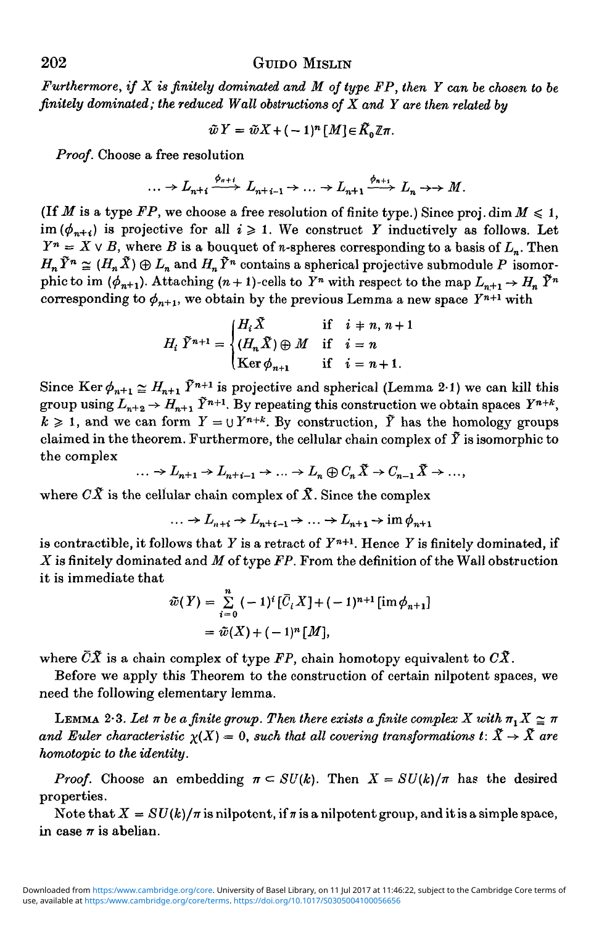## 202 GUIDO MISLIN

*Furthermore, if X is finitely dominated and M of type FP, then Y can be chosen to be finitely dominated; the reduced Wall obstructions of X and Y are then related by*

$$
\tilde{w} Y = \tilde{w} X + (-1)^n [M] \in \tilde{K}_0 \mathbb{Z} \pi.
$$

*Proof.* Choose a free resolution

$$
\ldots \to L_{n+1} \xrightarrow{\phi_{n+1}} L_{n+1-1} \to \ldots \to L_{n+1} \xrightarrow{\phi_{n+1}} L_n \to M.
$$

(If *M* is a type  $FP$ , we choose a free resolution of finite type.) Since proj. dim  $M \leq 1$ ,  $\lim_{h \to \infty} (\phi_{n+i})$  is projective for all  $i \geq 1$ . We construct Y inductively as follows. Let  $Y^n = X \vee B$ , where *B* is a bouquet of *n*-spheres corresponding to a basis of  $L_n$ . Then  $H_n \tilde{Y}^n \cong (H_n \tilde{X}) \oplus L_n$  and  $H_n \tilde{Y}^n$  contains a spherical projective submodule P isomorphic to im  $(\phi_{n+1})$ . Attaching  $(n+1)$ -cells to  $\overline{Y}^n$  with respect to the map  $L_{n+1} \to H_n \widetilde{Y}^n$ corresponding to  $\phi_{n+1}$ , we obtain by the previous Lemma a new space  $Y^{n+1}$  with

$$
H_i \ \tilde{Y}^{n+1} = \begin{cases} H_i \tilde{X} & \text{if } i = n, n+1 \\ (H_n \tilde{X}) \oplus M & \text{if } i = n \\ \text{Ker } \phi_{n+1} & \text{if } i = n+1. \end{cases}
$$

Since Ker  $\phi_{n+1} \simeq H_{n+1}$   $\tilde{Y}^{n+1}$  is projective and spherical (Lemma 2-1) we can kill this group using  $L_{n+2} \to H_{n+1} \tilde{Y}^{n+1}$ . By repeating this construction we obtain spaces  $Y^{n+k}$ ,  $k \geq 1$ , and we can form  $Y = \bigcup Y^{n+k}$ . By construction,  $\tilde{Y}$  has the homology groups claimed in the theorem. Furthermore, the cellular chain complex of  $\tilde{Y}$  is isomorphic to the complex

$$
\ldots \to L_{n+1} \to L_{n+i-1} \to \ldots \to L_n \oplus C_n \tilde{X} \to C_{n-1} \tilde{X} \to \ldots
$$

where  $C\tilde{X}$  is the cellular chain complex of  $\tilde{X}$ . Since the complex

$$
\dots \to L_{n+i} \to L_{n+i-1} \to \dots \to L_{n+1} \to \text{im } \phi_{n+1}
$$

is contractible, it follows that *Y* is a retract of *Yn+1.* Hence *Y* is finitely dominated, if *X* is finitely dominated and *M* of type *FP.* From the definition of the Wall obstruction it is immediate that

$$
\tilde{w}(Y) = \sum_{i=0}^{n} (-1)^{i} [\bar{C}_{i}X] + (-1)^{n+1} [\text{im } \phi_{n+1}]
$$
  
=  $\tilde{w}(X) + (-1)^{n} [M],$ 

where  $\overline{C}\tilde{X}$  is a chain complex of type  $\overline{FP}$ , chain homotopy equivalent to  $\overline{C}\tilde{X}$ .

Before we apply this Theorem to the construction of certain nilpotent spaces, we need the following elementary lemma.

LEMMA 2.3. Let  $\pi$  be a finite group. Then there exists a finite complex X with  $\pi_1 X \simeq \pi$ *and Euler characteristic*  $\chi(X) = 0$ , such that all covering transformations  $t: \tilde{X} \to \tilde{X}$  are *homotopic to the identity.*

*Proof.* Choose an embedding  $\pi \subset SU(k)$ . Then  $X = SU(k)/\pi$  has the desired properties.

Note that  $X = SU(k)/\pi$  is nilpotent, if  $\pi$  is a nilpotent group, and it is a simple space, in case  $\pi$  is abelian.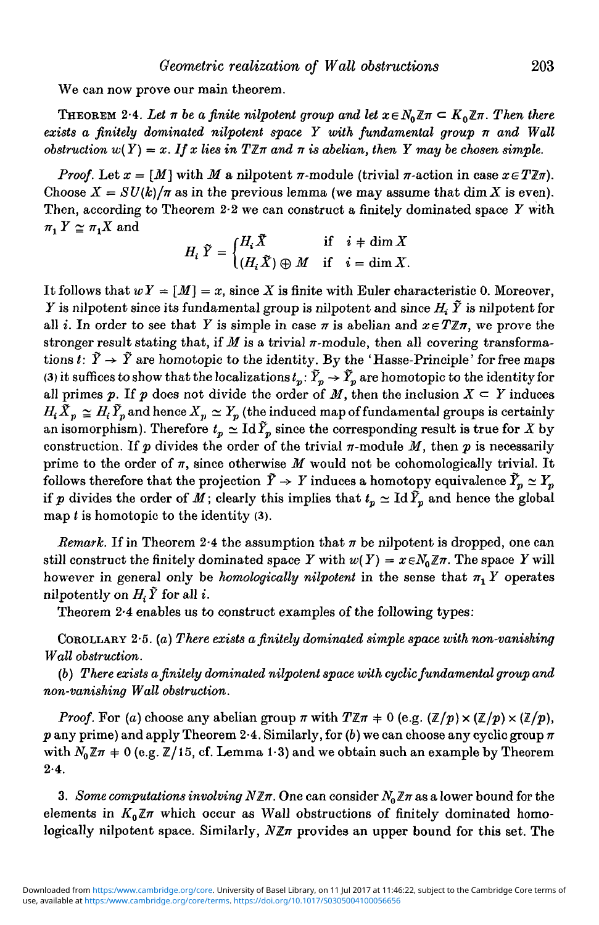We can now prove our main theorem.

THEOREM 2.4. Let  $\pi$  be a finite nilpotent group and let  $x \in N_0 \mathbb{Z} \pi \subset K_0 \mathbb{Z} \pi$ . Then there *exists a finitely dominated nilpotent space Y with fundamental group n and Wall obstruction*  $w(Y) = x$ . If x lies in  $T \mathbb{Z}$  and  $\pi$  is abelian, then Y may be chosen simple.

*Proof.* Let  $x = [M]$  with M a nilpotent  $\pi$ -module (trivial  $\pi$ -action in case  $x \in T \mathbb{Z} \pi$ ). Choose  $X = SU(k)/\pi$  as in the previous lemma (we may assume that dim X is even). Then, according to Theorem 2-2 we can construct a finitely dominated space *Y* with  $\pi_1 Y \cong \pi_1 X$  and

$$
H_i\,\,\widetilde{Y}=\begin{cases} H_i\,\widetilde{X}\qquad &\text{if}\quad i\,+\dim X\\ (H_i\,\widetilde{X})\oplus M\quad\text{if}\quad i=\dim X.\end{cases}
$$

It follows that  $wY = [M] = x$ , since X is finite with Euler characteristic 0. Moreover, *Y* is nilpotent since its fundamental group is nilpotent and since  $H_i$   $\tilde{Y}$  is nilpotent for all *i*. In order to see that Y is simple in case  $\pi$  is abelian and  $x \in T \mathbb{Z} \pi$ , we prove the stronger result stating that, if  $M$  is a trivial  $\pi$ -module, then all covering transformations  $t: \tilde{Y} \to \tilde{Y}$  are homotopic to the identity. By the 'Hasse-Principle' for free maps (3) it suffices to show that the localizations  $t_p: \tilde{Y}_p \to \tilde{Y}_p$  are homotopic to the identity for all primes p. If p does not divide the order of M, then the inclusion  $X \subseteq Y$  induces  $H_t \tilde{X}_p \cong H_t \tilde{Y}_p$  and hence  $X_p \cong Y_p$  (the induced map of fundamental groups is certainly an isomorphism). Therefore  $t_p \simeq \text{Id}\,\tilde{Y}_p$  since the corresponding result is true for *X* by construction. If  $p$  divides the order of the trivial  $\pi$ -module  $M$ , then  $p$  is necessarily prime to the order of *n,* since otherwise *M* would not be cohomologically trivial. It follows therefore that the projection  $\tilde{Y} \to Y$  induces a homotopy equivalence  $\tilde{Y}_p \simeq Y_p$ if *p* divides the order of *M*; clearly this implies that  $t_p \simeq \text{Id } \tilde{Y}_p$  and hence the global map *t* is homotopic to the identity (3).

*Remark.* If in Theorem 2.4 the assumption that  $\pi$  be nilpotent is dropped, one can still construct the finitely dominated space *Y* with  $w(Y) = x \in N_0 \mathbb{Z} \pi$ . The space *Y* will however in general only be *homologically nilpotent* in the sense that  $\pi_1 Y$  operates nilpotently on  $H_i \tilde{Y}$  for all *i*.

Theorem 2-4 enables us to construct examples of the following types:

COROLLARY 2-5. *(a) There exists a finitely dominated simple space with non-vanishing Wall obstruction.*

*(b) There exists a finitely dominated nilpotent space with cyclic fundamental group and non-vanishing Wall obstruction.*

*Proof.* For *(a)* choose any abelian group  $\pi$  with  $T\mathbb{Z}\pi + 0$  (e.g.  $(\mathbb{Z}/p) \times (\mathbb{Z}/p) \times (\mathbb{Z}/p)$ ,  $p$  any prime) and apply Theorem 2<sup>.</sup>4. Similarly, for  $(b)$  we can choose any cyclic group  $\pi$ with  $N_0 \mathbb{Z} \pi + 0$  (e.g.  $\mathbb{Z}/15$ , cf. Lemma 1.3) and we obtain such an example by Theorem  $2.4.$ 

3. Some computations involving  $N \mathbb{Z} \pi$ . One can consider  $N_0 \mathbb{Z} \pi$  as a lower bound for the elements in  $K_0 \mathbb{Z} \pi$  which occur as Wall obstructions of finitely dominated homologically nilpotent space. Similarly, *NZn* provides an upper bound for this set. The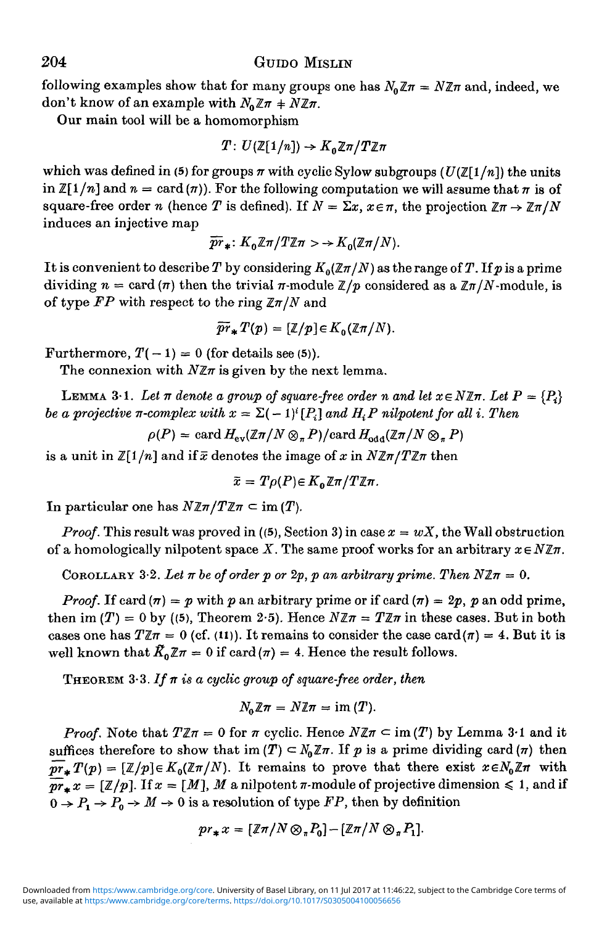following examples show that for many groups one has  $N_0 \mathbb{Z} \pi = N \mathbb{Z} \pi$  and, indeed, we don't know of an example with  $N_0 \mathbb{Z} \pi + N \mathbb{Z} \pi$ .

Our main tool will be a homomorphism

$$
T: U(\mathbb{Z}[1/n]) \to K_0 \mathbb{Z}\pi/T\mathbb{Z}\pi
$$

which was defined in (5) for groups  $\pi$  with cyclic Sylow subgroups  $(U(\mathbb{Z}[1/n]))$  the units in  $\mathbb{Z}[1/n]$  and  $n = \text{card}(\pi)$ . For the following computation we will assume that  $\pi$  is of square-free order *n* (hence *T* is defined). If  $N = \Sigma x$ ,  $x \in \pi$ , the projection  $\mathbb{Z}\pi \to \mathbb{Z}\pi/N$ induces an injective map

$$
\overline{pr}_*: K_0\mathbb{Z}\pi/T\mathbb{Z}\pi >> K_0(\mathbb{Z}\pi/N).
$$

It is convenient to describe T by considering  $K_0(\mathbb{Z}\pi/N)$  as the range of T. If p is a prime dividing  $n = \text{card}(\pi)$  then the trivial  $\pi$ -module  $\mathbb{Z}/p$  considered as a  $\mathbb{Z}\pi/N$ -module, is of type  $FP$  with respect to the ring  $\mathbb{Z}(\pi/N)$  and

$$
\widetilde{pr}_*T(p)=[\mathbb{Z}/p]\in K_0(\mathbb{Z}\pi/N).
$$

Furthermore,  $T(-1) = 0$  (for details see (5)).

The connexion with  $N \mathbb{Z}$ *m* is given by the next lemma.

**LEMMA** 3.1. Let  $\pi$  denote a group of square-free order n and let  $x \in N \mathbb{Z}$  $\pi$ . Let  $P = \{P_i\}$ *be a projective*  $\pi$ *-complex with*  $x = \sum (-1)^i [P_i]$  *and*  $H_i P$  nilpotent for all i. Then

$$
\rho(P) = \text{card } H_{\text{ev}}(\mathbb{Z}\pi/N \otimes_{\pi} P)/\text{card } H_{\text{odd}}(\mathbb{Z}\pi/N \otimes_{\pi} P)
$$

is a unit in  $\mathbb{Z}[1/n]$  and if  $\bar{x}$  denotes the image of x in  $N\mathbb{Z}\pi/T\mathbb{Z}\pi$  then

$$
\widetilde{x}=T\rho(P)\!\in\!K_0\!\,\mathbb{Z}\pi/T\mathbb{Z}\pi.
$$

In particular one has  $N \mathbb{Z} \pi / T \mathbb{Z} \pi \subset \text{im} (T)$ .

*Proof.* This result was proved in ((5), Section 3) in case  $x = wX$ , the Wall obstruction of a homologically nilpotent space X. The same proof works for an arbitrary  $x \in N \mathbb{Z}$ *n*.

COROLLARY 3.2. Let  $\pi$  be of order p or 2p, p an arbitrary prime. Then  $N \mathbb{Z} \pi = 0$ .

*Proof.* If card  $(n) = p$  with p an arbitrary prime or if card  $(n) = 2p$ , p an odd prime, then im  $(T) = 0$  by ((5), Theorem 2.5). Hence  $N \mathbb{Z} \pi = T \mathbb{Z} \pi$  in these cases. But in both cases one has  $T\mathbb{Z}\pi = 0$  (cf. (11)). It remains to consider the case card ( $\pi$ ) = 4. But it is well known that  $\tilde{K}_0 \mathbb{Z} \pi = 0$  if card  $(\pi) = 4$ . Hence the result follows.

**THEOREM** 3.3. If  $\pi$  is a cyclic group of square-free order, then

$$
N_0\mathbb{Z}\pi = N\mathbb{Z}\pi = \text{im}(T).
$$

*Proof.* Note that  $T \mathbb{Z} \pi = 0$  for  $\pi$  cyclic. Hence  $N \mathbb{Z} \pi \subset \text{im}(T)$  by Lemma 3.1 and it suffices therefore to show that im  $(T) \subset N_0 \mathbb{Z} \pi$ . If p is a prime dividing card  $(n)$  then  $\overline{pr}_*T(p) = [\mathbb{Z}/p] \in K_0(\mathbb{Z}\pi/N)$ . It remains to prove that there exist  $x \in N_0\mathbb{Z}\pi$  with  $\overline{pr}_{*}x=[\mathbb{Z}/p].$  If  $x=[M], M$  a nilpotent  $\pi$ -module of projective dimension  $\leq 1$ , and if  $0 \rightarrow P_1 \rightarrow P_0 \rightarrow M \rightarrow 0$  is a resolution of type *FP*, then by definition

$$
pr_*x=[\mathbb{Z}\pi/N\otimes_{\pi}P_0]-[\mathbb{Z}\pi/N\otimes_{\pi}P_1].
$$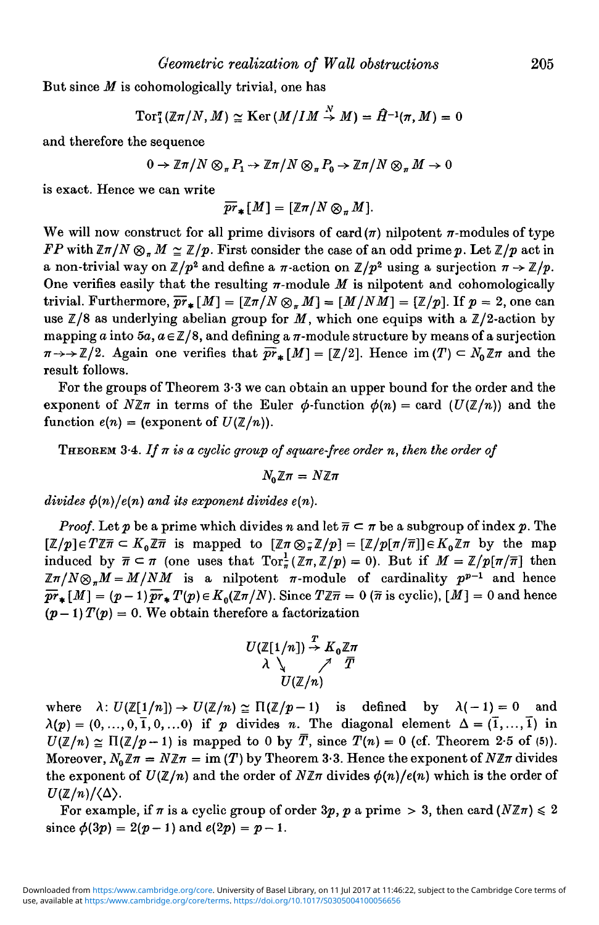But since *M* is cohomologically trivial, one has

$$
\operatorname{Tor}^{\pi}_1(\mathbb{Z}\pi/N, M) \simeq \operatorname{Ker} (M/IM \overset{N}{\to} M) = \hat{H}^{-1}(\pi, M) = 0
$$

and therefore the sequence

$$
0 \to \mathbb{Z}\pi/N \otimes_{\pi} P_1 \to \mathbb{Z}\pi/N \otimes_{\pi} P_0 \to \mathbb{Z}\pi/N \otimes_{\pi} M \to 0
$$

is exact. Hence we can write

$$
\overline{pr}_*[M] = [\mathbb{Z} \pi/N \otimes_{\pi} M].
$$

We will now construct for all prime divisors of card $(\pi)$  nilpotent  $\pi$ -modules of type *FP* with  $\mathbb{Z}\pi/N\otimes_{\pi}M\cong\mathbb{Z}/p$ . First consider the case of an odd prime p. Let  $\mathbb{Z}/p$  act in a non-trivial way on  $\mathbb{Z}/p^2$  and define a  $\pi$ -action on  $\mathbb{Z}/p^2$  using a surjection  $\pi \to \mathbb{Z}/p$ . One verifies easily that the resulting  $\pi$ -module  $M$  is nilpotent and cohomologically trivial. Furthermore,  $\overline{pr}_{*}[M] = [\mathbb{Z}\pi/N \otimes_{\pi}M] = [M/NM] = [\mathbb{Z}/p]$ . If  $p = 2$ , one can use  $\mathbb{Z}/8$  as underlying abelian group for M, which one equips with a  $\mathbb{Z}/2$ -action by mapping a into  $5a$ ,  $a \in \mathbb{Z}/8$ , and defining a  $\pi$ -module structure by means of a surjection  $\pi \rightarrow \mathbb{Z}/2$ . Again one verifies that  $\overline{pr}_{*}[M] = [\mathbb{Z}/2]$ . Hence im $(T) \subset N_0 \mathbb{Z} \pi$  and the result follows.

For the groups of Theorem 3-3 we can obtain an upper bound for the order and the exponent of  $N\mathbb{Z}$  in terms of the Euler  $\phi$ -function  $\phi(n) = \text{card } (U(\mathbb{Z}/n))$  and the function  $e(n) = (exponent of  $U(\mathbb{Z}/n)$ ).$ 

THEOREM 3-4. *If n is a cyclic group of square-free order n, then the order of*

 $N_0 \mathbb{Z} \pi = N \mathbb{Z} \pi$ 

*divides*  $\phi(n)/e(n)$  *and its exponent divides e(n).* 

*Proof.* Let p be a prime which divides n and let  $\overline{n} \subset \pi$  be a subgroup of index p. The  $[\mathbb{Z}/p] \in T \mathbb{Z} \pi \subset K_0 \mathbb{Z} \pi$  is mapped to  $[\mathbb{Z} \pi \otimes \mathbb{Z} \mathbb{Z}/p] = [\mathbb{Z}/p[\pi/\overline{\pi}]] \in K_0 \mathbb{Z} \pi$  by the map induced by  $\bar{\pi} \subset \pi$  (one uses that  $Tor_{\pi}^{1}(\mathbb{Z}\pi,\mathbb{Z}/p) = 0$ ). But if  $M = \mathbb{Z}/p[\pi/\bar{\pi}]$  then  $\mathbb{Z}\pi/N\otimes_{\pi} M = M/NM$  is a nilpotent  $\pi$ -module of cardinality  $p^{p-1}$  and hence  $\overline{pr}_{\bullet}[M] = (p-1)\overline{pr}_{\bullet}T(p) \in K_0(\mathbb{Z}\pi/N)$ . Since  $T\mathbb{Z}\overline{n} = 0$  ( $\overline{n}$  is cyclic),  $[M] = 0$  and hence  $(p-1)$   $T(p) = 0$ . We obtain therefore a factorization

$$
U(\mathbb{Z}[1/n]) \stackrel{T}{\rightarrow} K_0 \mathbb{Z}\pi
$$
  

$$
\lambda \searrow \qquad \qquad \nearrow \qquad \overline{T}
$$
  

$$
U(\mathbb{Z}/n)
$$

where  $\lambda: U(\mathbb{Z}[1/n]) \to U(\mathbb{Z}/n) \cong \Pi(\mathbb{Z}/p-1)$  is defined by  $\lambda(-1) = 0$  and  $\lambda(p) = (0, ..., 0, \overline{1}, 0, ...)$  if p divides n. The diagonal element  $\Delta = (\overline{1}, ..., \overline{1})$  in  $U(\mathbb{Z}/n) \simeq \Pi(\mathbb{Z}/p-1)$  is mapped to 0 by  $\overline{T}$ , since  $T(n) = 0$  (cf. Theorem 2-5 of (5)). Moreover,  $N_0 \mathbb{Z} \pi = N \mathbb{Z} \pi = \text{im}(T)$  by Theorem 3.3. Hence the exponent of  $N \mathbb{Z} \pi$  divides the exponent of  $U(\mathbb{Z}/n)$  and the order of  $N\mathbb{Z}\pi$  divides  $\phi(n)/e(n)$  which is the order of  $U(\mathbb{Z}/n)/\langle \Delta \rangle$ .

For example, if  $\pi$  is a cyclic group of order  $3p$ ,  $p$  a prime  $> 3$ , then card  $(N\mathbb{Z}\pi) \leq 2$ since  $\phi(3p) = 2(p-1)$  and  $e(2p) = p-1$ .